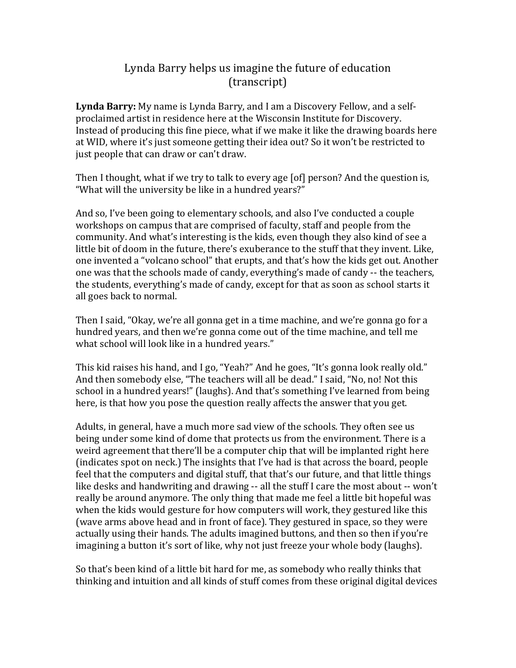## Lynda Barry helps us imagine the future of education (transcript)

**Lynda Barry:** My name is Lynda Barry, and I am a Discovery Fellow, and a selfproclaimed artist in residence here at the Wisconsin Institute for Discovery. Instead of producing this fine piece, what if we make it like the drawing boards here at WID, where it's just someone getting their idea out? So it won't be restricted to just people that can draw or can't draw.

Then I thought, what if we try to talk to every age [of] person? And the question is, "What will the university be like in a hundred years?"

And so, I've been going to elementary schools, and also I've conducted a couple workshops on campus that are comprised of faculty, staff and people from the community. And what's interesting is the kids, even though they also kind of see a little bit of doom in the future, there's exuberance to the stuff that they invent. Like, one invented a "volcano school" that erupts, and that's how the kids get out. Another one was that the schools made of candy, everything's made of candy -- the teachers, the students, everything's made of candy, except for that as soon as school starts it all goes back to normal.

Then I said, "Okay, we're all gonna get in a time machine, and we're gonna go for a hundred years, and then we're gonna come out of the time machine, and tell me what school will look like in a hundred years."

This kid raises his hand, and I go, "Yeah?" And he goes, "It's gonna look really old." And then somebody else, "The teachers will all be dead." I said, "No, no! Not this school in a hundred years!" (laughs). And that's something I've learned from being here, is that how you pose the question really affects the answer that you get.

Adults, in general, have a much more sad view of the schools. They often see us being under some kind of dome that protects us from the environment. There is a weird agreement that there'll be a computer chip that will be implanted right here (indicates spot on neck.) The insights that I've had is that across the board, people feel that the computers and digital stuff, that that's our future, and that little things like desks and handwriting and drawing  $-$  all the stuff I care the most about  $-$  won't really be around anymore. The only thing that made me feel a little bit hopeful was when the kids would gesture for how computers will work, they gestured like this (wave arms above head and in front of face). They gestured in space, so they were actually using their hands. The adults imagined buttons, and then so then if you're imagining a button it's sort of like, why not just freeze your whole body (laughs).

So that's been kind of a little bit hard for me, as somebody who really thinks that thinking and intuition and all kinds of stuff comes from these original digital devices